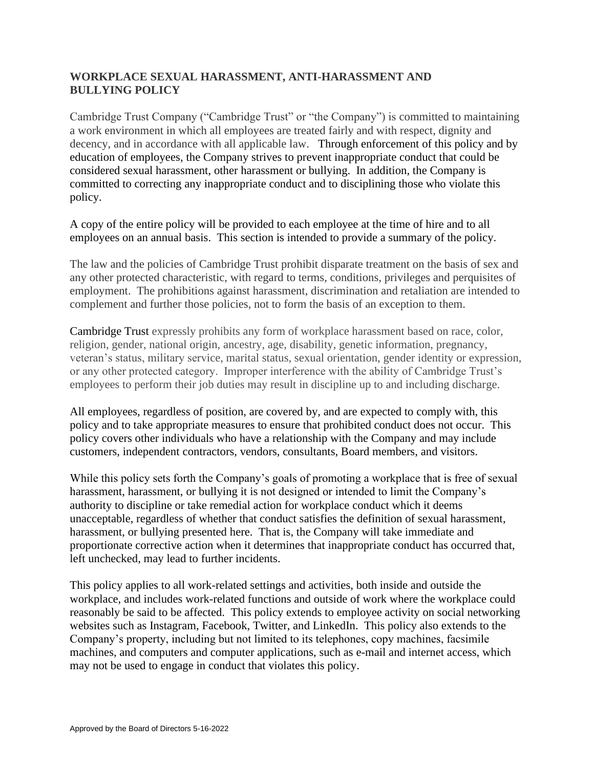# **WORKPLACE SEXUAL HARASSMENT, ANTI-HARASSMENT AND BULLYING POLICY**

Cambridge Trust Company ("Cambridge Trust" or "the Company") is committed to maintaining a work environment in which all employees are treated fairly and with respect, dignity and decency, and in accordance with all applicable law. Through enforcement of this policy and by education of employees, the Company strives to prevent inappropriate conduct that could be considered sexual harassment, other harassment or bullying. In addition, the Company is committed to correcting any inappropriate conduct and to disciplining those who violate this policy.

A copy of the entire policy will be provided to each employee at the time of hire and to all employees on an annual basis. This section is intended to provide a summary of the policy.

The law and the policies of Cambridge Trust prohibit disparate treatment on the basis of sex and any other protected characteristic, with regard to terms, conditions, privileges and perquisites of employment. The prohibitions against harassment, discrimination and retaliation are intended to complement and further those policies, not to form the basis of an exception to them.

Cambridge Trust expressly prohibits any form of workplace harassment based on race, color, religion, gender, national origin, ancestry, age, disability, genetic information, pregnancy, veteran's status, military service, marital status, sexual orientation, gender identity or expression, or any other protected category. Improper interference with the ability of Cambridge Trust's employees to perform their job duties may result in discipline up to and including discharge.

All employees, regardless of position, are covered by, and are expected to comply with, this policy and to take appropriate measures to ensure that prohibited conduct does not occur. This policy covers other individuals who have a relationship with the Company and may include customers, independent contractors, vendors, consultants, Board members, and visitors.

While this policy sets forth the Company's goals of promoting a workplace that is free of sexual harassment, harassment, or bullying it is not designed or intended to limit the Company's authority to discipline or take remedial action for workplace conduct which it deems unacceptable, regardless of whether that conduct satisfies the definition of sexual harassment, harassment, or bullying presented here. That is, the Company will take immediate and proportionate corrective action when it determines that inappropriate conduct has occurred that, left unchecked, may lead to further incidents.

This policy applies to all work-related settings and activities, both inside and outside the workplace, and includes work-related functions and outside of work where the workplace could reasonably be said to be affected. This policy extends to employee activity on social networking websites such as Instagram, Facebook, Twitter, and LinkedIn. This policy also extends to the Company's property, including but not limited to its telephones, copy machines, facsimile machines, and computers and computer applications, such as e-mail and internet access, which may not be used to engage in conduct that violates this policy.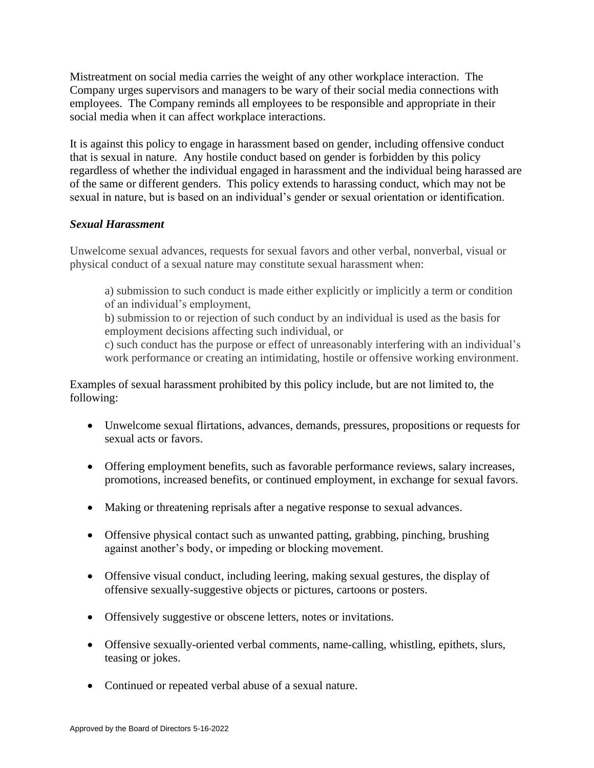Mistreatment on social media carries the weight of any other workplace interaction. The Company urges supervisors and managers to be wary of their social media connections with employees. The Company reminds all employees to be responsible and appropriate in their social media when it can affect workplace interactions.

It is against this policy to engage in harassment based on gender, including offensive conduct that is sexual in nature. Any hostile conduct based on gender is forbidden by this policy regardless of whether the individual engaged in harassment and the individual being harassed are of the same or different genders. This policy extends to harassing conduct, which may not be sexual in nature, but is based on an individual's gender or sexual orientation or identification.

### *Sexual Harassment*

Unwelcome sexual advances, requests for sexual favors and other verbal, nonverbal, visual or physical conduct of a sexual nature may constitute sexual harassment when:

a) submission to such conduct is made either explicitly or implicitly a term or condition of an individual's employment,

b) submission to or rejection of such conduct by an individual is used as the basis for employment decisions affecting such individual, or

c) such conduct has the purpose or effect of unreasonably interfering with an individual's work performance or creating an intimidating, hostile or offensive working environment.

Examples of sexual harassment prohibited by this policy include, but are not limited to, the following:

- Unwelcome sexual flirtations, advances, demands, pressures, propositions or requests for sexual acts or favors.
- Offering employment benefits, such as favorable performance reviews, salary increases, promotions, increased benefits, or continued employment, in exchange for sexual favors.
- Making or threatening reprisals after a negative response to sexual advances.
- Offensive physical contact such as unwanted patting, grabbing, pinching, brushing against another's body, or impeding or blocking movement.
- Offensive visual conduct, including leering, making sexual gestures, the display of offensive sexually-suggestive objects or pictures, cartoons or posters.
- Offensively suggestive or obscene letters, notes or invitations.
- Offensive sexually-oriented verbal comments, name-calling, whistling, epithets, slurs, teasing or jokes.
- Continued or repeated verbal abuse of a sexual nature.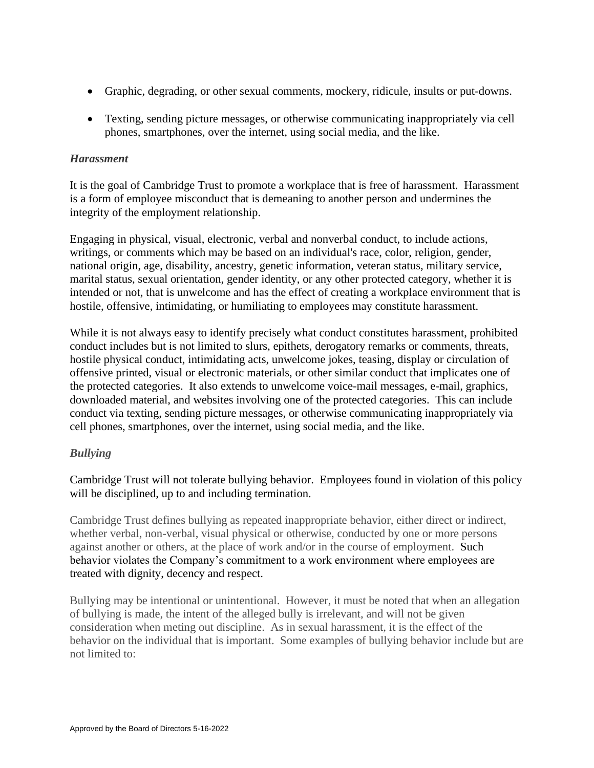- Graphic, degrading, or other sexual comments, mockery, ridicule, insults or put-downs.
- Texting, sending picture messages, or otherwise communicating inappropriately via cell phones, smartphones, over the internet, using social media, and the like.

### *Harassment*

It is the goal of Cambridge Trust to promote a workplace that is free of harassment. Harassment is a form of employee misconduct that is demeaning to another person and undermines the integrity of the employment relationship.

Engaging in physical, visual, electronic, verbal and nonverbal conduct, to include actions, writings, or comments which may be based on an individual's race, color, religion, gender, national origin, age, disability, ancestry, genetic information, veteran status, military service, marital status, sexual orientation, gender identity, or any other protected category, whether it is intended or not, that is unwelcome and has the effect of creating a workplace environment that is hostile, offensive, intimidating, or humiliating to employees may constitute harassment.

While it is not always easy to identify precisely what conduct constitutes harassment, prohibited conduct includes but is not limited to slurs, epithets, derogatory remarks or comments, threats, hostile physical conduct, intimidating acts, unwelcome jokes, teasing, display or circulation of offensive printed, visual or electronic materials, or other similar conduct that implicates one of the protected categories. It also extends to unwelcome voice-mail messages, e-mail, graphics, downloaded material, and websites involving one of the protected categories. This can include conduct via texting, sending picture messages, or otherwise communicating inappropriately via cell phones, smartphones, over the internet, using social media, and the like.

## *Bullying*

Cambridge Trust will not tolerate bullying behavior. Employees found in violation of this policy will be disciplined, up to and including termination.

Cambridge Trust defines bullying as repeated inappropriate behavior, either direct or indirect, whether verbal, non-verbal, visual physical or otherwise, conducted by one or more persons against another or others, at the place of work and/or in the course of employment. Such behavior violates the Company's commitment to a work environment where employees are treated with dignity, decency and respect.

Bullying may be intentional or unintentional. However, it must be noted that when an allegation of bullying is made, the intent of the alleged bully is irrelevant, and will not be given consideration when meting out discipline. As in sexual harassment, it is the effect of the behavior on the individual that is important. Some examples of bullying behavior include but are not limited to: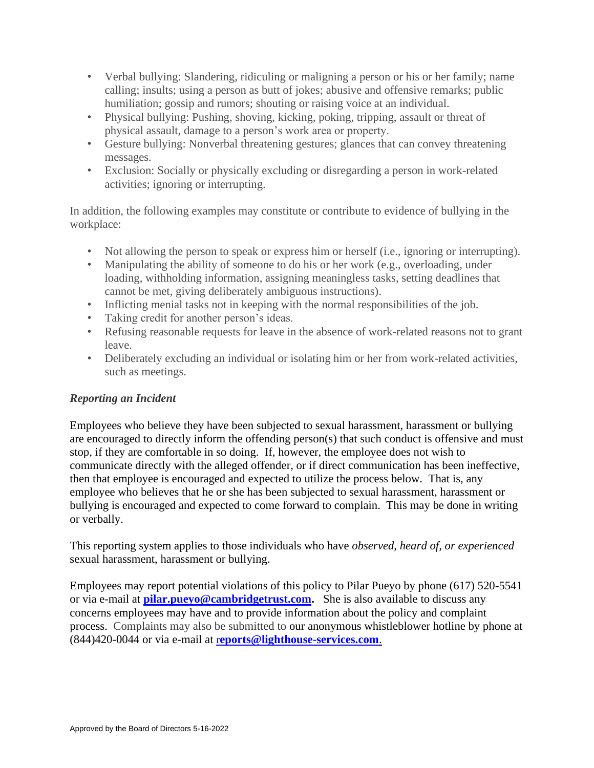- Verbal bullying: Slandering, ridiculing or maligning a person or his or her family; name calling; insults; using a person as butt of jokes; abusive and offensive remarks; public humiliation; gossip and rumors; shouting or raising voice at an individual.
- Physical bullying: Pushing, shoving, kicking, poking, tripping, assault or threat of physical assault, damage to a person's work area or property.
- Gesture bullying: Nonverbal threatening gestures; glances that can convey threatening messages.
- Exclusion: Socially or physically excluding or disregarding a person in work-related activities; ignoring or interrupting.

In addition, the following examples may constitute or contribute to evidence of bullying in the workplace:

- Not allowing the person to speak or express him or herself (i.e., ignoring or interrupting).
- Manipulating the ability of someone to do his or her work (e.g., overloading, under loading, withholding information, assigning meaningless tasks, setting deadlines that cannot be met, giving deliberately ambiguous instructions).
- Inflicting menial tasks not in keeping with the normal responsibilities of the job.
- Taking credit for another person's ideas.
- Refusing reasonable requests for leave in the absence of work-related reasons not to grant leave.
- Deliberately excluding an individual or isolating him or her from work-related activities, such as meetings.

## *Reporting an Incident*

Employees who believe they have been subjected to sexual harassment, harassment or bullying are encouraged to directly inform the offending person(s) that such conduct is offensive and must stop, if they are comfortable in so doing. If, however, the employee does not wish to communicate directly with the alleged offender, or if direct communication has been ineffective, then that employee is encouraged and expected to utilize the process below. That is, any employee who believes that he or she has been subjected to sexual harassment, harassment or bullying is encouraged and expected to come forward to complain. This may be done in writing or verbally.

This reporting system applies to those individuals who have *observed, heard of, or experienced*  sexual harassment, harassment or bullying.

Employees may report potential violations of this policy to Pilar Pueyo by phone (617) 520-5541 or via e-mail at **pilar.pueyo@cambridgetrust.com.** She is also available to discuss any concerns employees may have and to provide information about the policy and complaint process. Complaints may also be submitted to our anonymous whistleblower hotline by phone at (844)420-0044 or via e-mail at r**[eports@lighthouse-services.com](mailto:reports@lighthouse-services.com)**.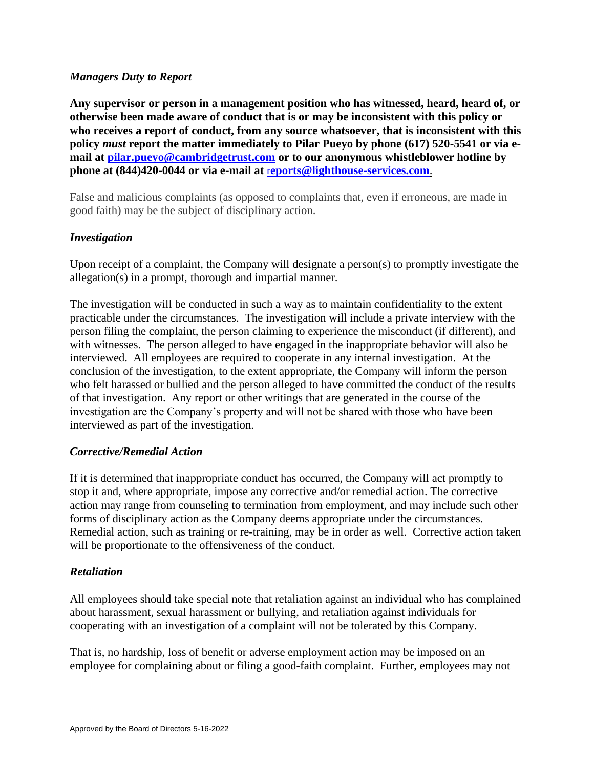#### *Managers Duty to Report*

**Any supervisor or person in a management position who has witnessed, heard, heard of, or otherwise been made aware of conduct that is or may be inconsistent with this policy or who receives a report of conduct, from any source whatsoever, that is inconsistent with this policy** *must* **report the matter immediately to Pilar Pueyo by phone (617) 520-5541 or via email at [pilar.pueyo@cambridgetrust.com](mailto:pilar.pueyo@cambridgetrust.com) or to our anonymous whistleblower hotline by phone at (844)420-0044 or via e-mail at** r**[eports@lighthouse-services.com](mailto:reports@lighthouse-services.com)**.

False and malicious complaints (as opposed to complaints that, even if erroneous, are made in good faith) may be the subject of disciplinary action.

### *Investigation*

Upon receipt of a complaint, the Company will designate a person(s) to promptly investigate the allegation(s) in a prompt, thorough and impartial manner.

The investigation will be conducted in such a way as to maintain confidentiality to the extent practicable under the circumstances. The investigation will include a private interview with the person filing the complaint, the person claiming to experience the misconduct (if different), and with witnesses. The person alleged to have engaged in the inappropriate behavior will also be interviewed. All employees are required to cooperate in any internal investigation. At the conclusion of the investigation, to the extent appropriate, the Company will inform the person who felt harassed or bullied and the person alleged to have committed the conduct of the results of that investigation. Any report or other writings that are generated in the course of the investigation are the Company's property and will not be shared with those who have been interviewed as part of the investigation.

#### *Corrective/Remedial Action*

If it is determined that inappropriate conduct has occurred, the Company will act promptly to stop it and, where appropriate, impose any corrective and/or remedial action. The corrective action may range from counseling to termination from employment, and may include such other forms of disciplinary action as the Company deems appropriate under the circumstances. Remedial action, such as training or re-training, may be in order as well. Corrective action taken will be proportionate to the offensiveness of the conduct.

#### *Retaliation*

All employees should take special note that retaliation against an individual who has complained about harassment, sexual harassment or bullying, and retaliation against individuals for cooperating with an investigation of a complaint will not be tolerated by this Company.

That is, no hardship, loss of benefit or adverse employment action may be imposed on an employee for complaining about or filing a good-faith complaint. Further, employees may not